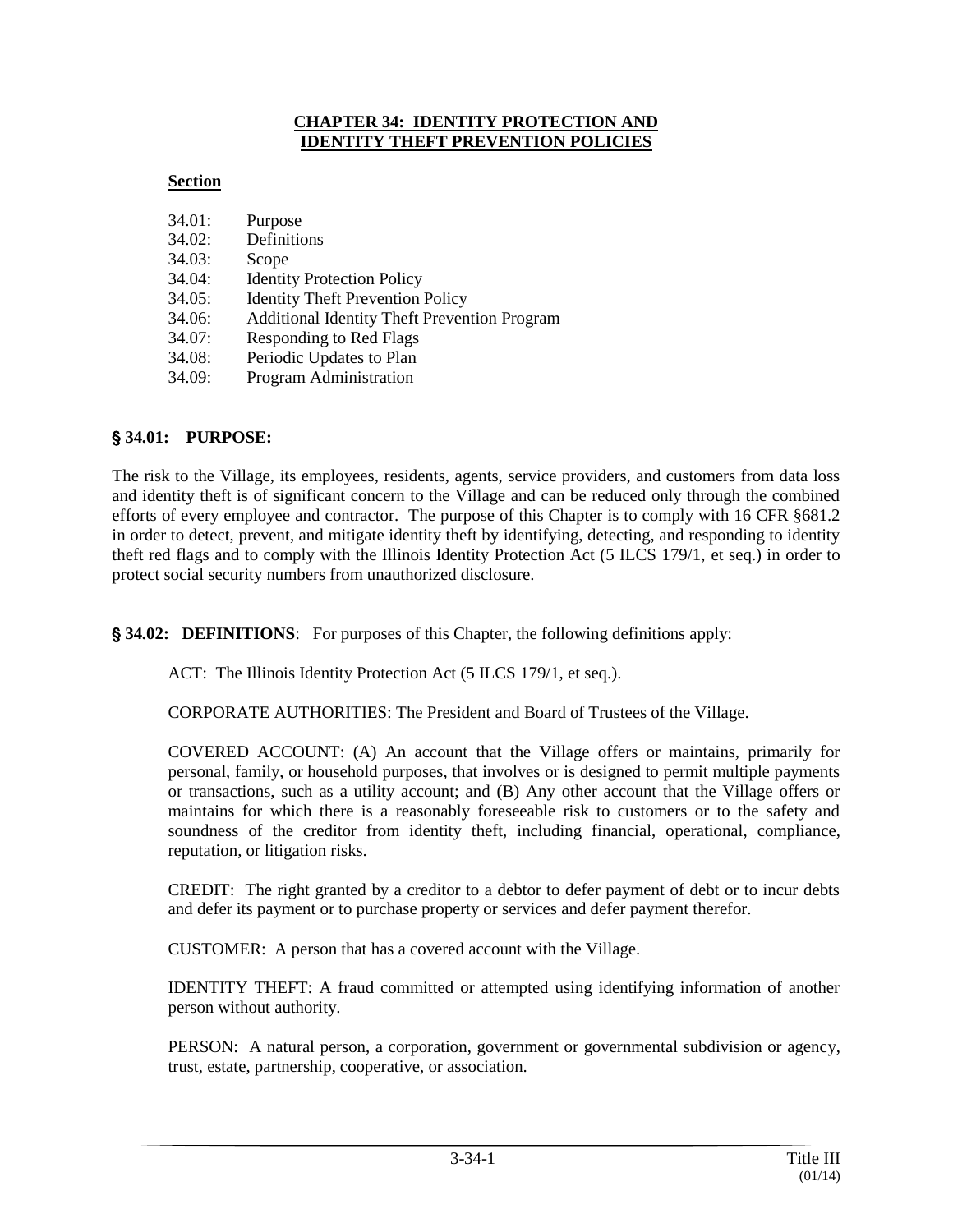#### **CHAPTER 34: IDENTITY PROTECTION AND IDENTITY THEFT PREVENTION POLICIES**

# **Section**

| 34.01: | Purpose                                             |
|--------|-----------------------------------------------------|
| 34.02: | Definitions                                         |
| 34.03: | Scope                                               |
| 34.04: | <b>Identity Protection Policy</b>                   |
| 34.05: | <b>Identity Theft Prevention Policy</b>             |
| 34.06: | <b>Additional Identity Theft Prevention Program</b> |
| 34.07: | <b>Responding to Red Flags</b>                      |
| 34.08: | Periodic Updates to Plan                            |
| 34.09: | Program Administration                              |

# ' **34.01: PURPOSE:**

The risk to the Village, its employees, residents, agents, service providers, and customers from data loss and identity theft is of significant concern to the Village and can be reduced only through the combined efforts of every employee and contractor. The purpose of this Chapter is to comply with 16 CFR §681.2 in order to detect, prevent, and mitigate identity theft by identifying, detecting, and responding to identity theft red flags and to comply with the Illinois Identity Protection Act (5 ILCS 179/1, et seq.) in order to protect social security numbers from unauthorized disclosure.

' **34.02: DEFINITIONS**: For purposes of this Chapter, the following definitions apply:

ACT: The Illinois Identity Protection Act (5 ILCS 179/1, et seq.).

CORPORATE AUTHORITIES: The President and Board of Trustees of the Village.

COVERED ACCOUNT: (A) An account that the Village offers or maintains, primarily for personal, family, or household purposes, that involves or is designed to permit multiple payments or transactions, such as a utility account; and (B) Any other account that the Village offers or maintains for which there is a reasonably foreseeable risk to customers or to the safety and soundness of the creditor from identity theft, including financial, operational, compliance, reputation, or litigation risks.

CREDIT: The right granted by a creditor to a debtor to defer payment of debt or to incur debts and defer its payment or to purchase property or services and defer payment therefor.

CUSTOMER: A person that has a covered account with the Village.

IDENTITY THEFT: A fraud committed or attempted using identifying information of another person without authority.

PERSON: A natural person, a corporation, government or governmental subdivision or agency, trust, estate, partnership, cooperative, or association.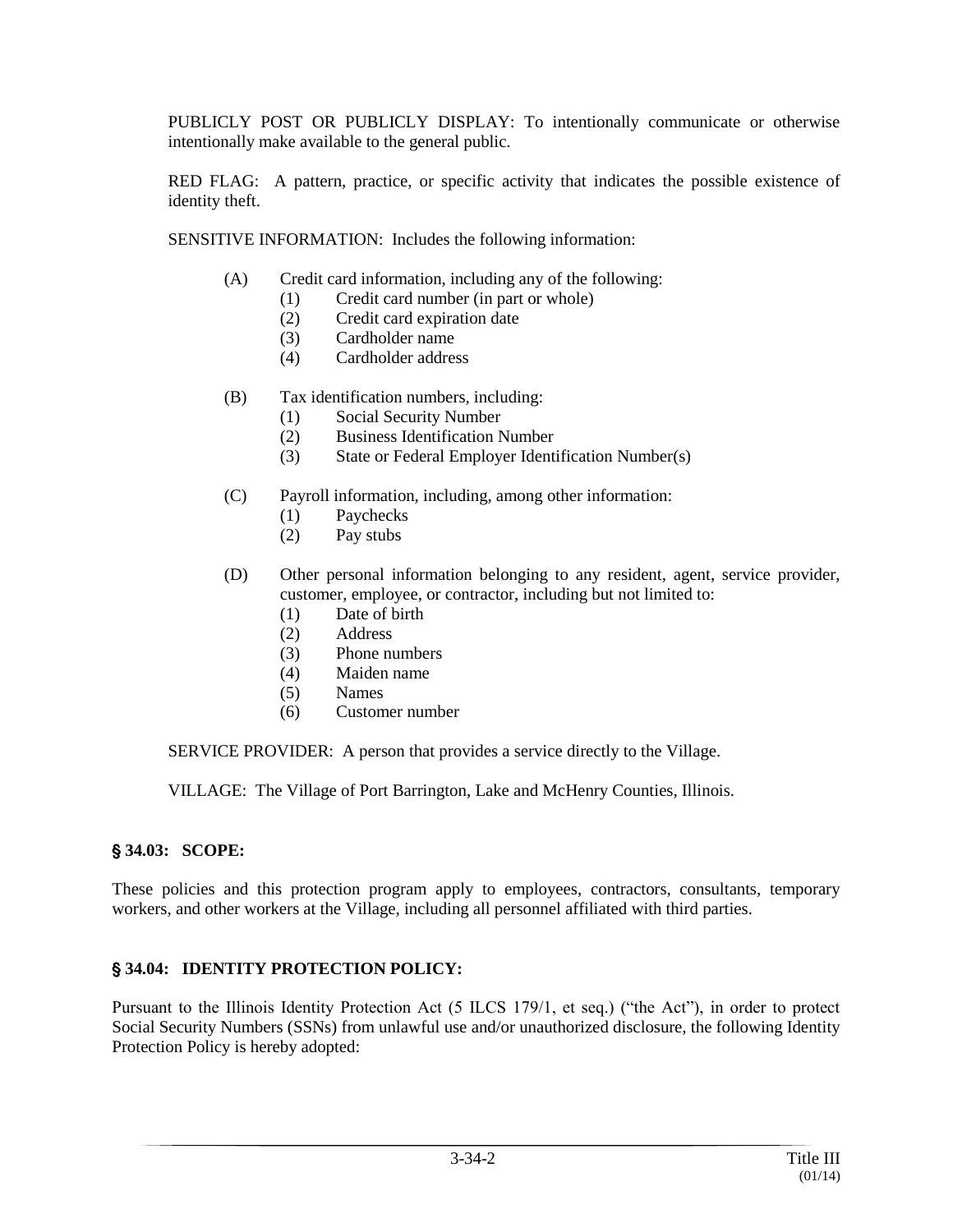PUBLICLY POST OR PUBLICLY DISPLAY: To intentionally communicate or otherwise intentionally make available to the general public.

RED FLAG: A pattern, practice, or specific activity that indicates the possible existence of identity theft.

SENSITIVE INFORMATION: Includes the following information:

- (A) Credit card information, including any of the following:
	- (1) Credit card number (in part or whole)
	- (2) Credit card expiration date
	- (3) Cardholder name
	- (4) Cardholder address
- (B) Tax identification numbers, including:
	- (1) Social Security Number
	- (2) Business Identification Number
	- (3) State or Federal Employer Identification Number(s)
- (C) Payroll information, including, among other information:
	- (1) Paychecks
	- (2) Pay stubs
- (D) Other personal information belonging to any resident, agent, service provider, customer, employee, or contractor, including but not limited to:
	- (1) Date of birth
	- (2) Address
	- (3) Phone numbers
	- (4) Maiden name
	- (5) Names
	- (6) Customer number

SERVICE PROVIDER: A person that provides a service directly to the Village.

VILLAGE: The Village of Port Barrington, Lake and McHenry Counties, Illinois.

#### ' **34.03: SCOPE:**

These policies and this protection program apply to employees, contractors, consultants, temporary workers, and other workers at the Village, including all personnel affiliated with third parties.

#### ' **34.04: IDENTITY PROTECTION POLICY:**

Pursuant to the Illinois Identity Protection Act (5 ILCS 179/1, et seq.) ("the Act"), in order to protect Social Security Numbers (SSNs) from unlawful use and/or unauthorized disclosure, the following Identity Protection Policy is hereby adopted: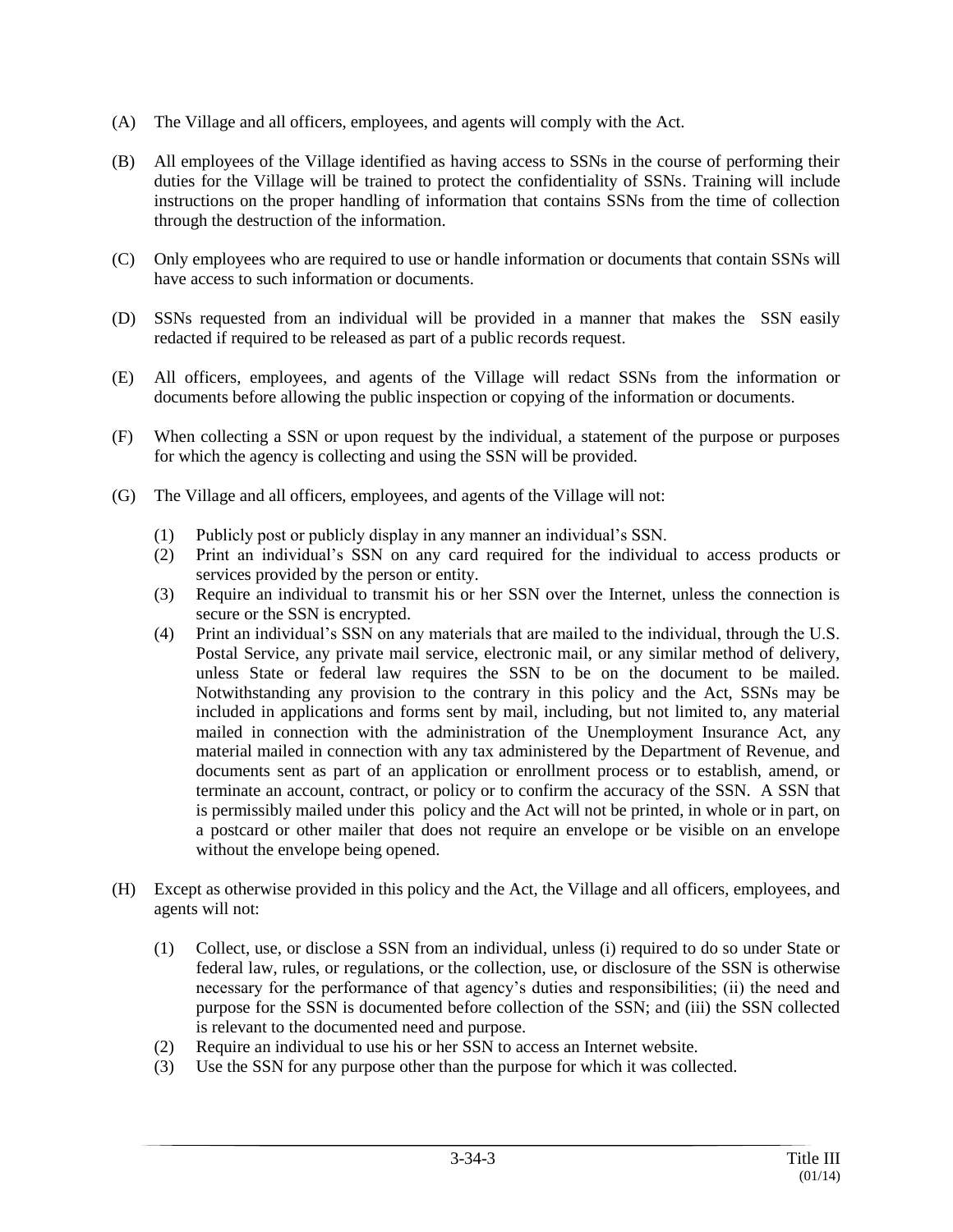- (A) The Village and all officers, employees, and agents will comply with the Act.
- (B) All employees of the Village identified as having access to SSNs in the course of performing their duties for the Village will be trained to protect the confidentiality of SSNs. Training will include instructions on the proper handling of information that contains SSNs from the time of collection through the destruction of the information.
- (C) Only employees who are required to use or handle information or documents that contain SSNs will have access to such information or documents.
- (D) SSNs requested from an individual will be provided in a manner that makes the SSN easily redacted if required to be released as part of a public records request.
- (E) All officers, employees, and agents of the Village will redact SSNs from the information or documents before allowing the public inspection or copying of the information or documents.
- (F) When collecting a SSN or upon request by the individual, a statement of the purpose or purposes for which the agency is collecting and using the SSN will be provided.
- (G) The Village and all officers, employees, and agents of the Village will not:
	- (1) Publicly post or publicly display in any manner an individual's SSN.
	- (2) Print an individual's SSN on any card required for the individual to access products or services provided by the person or entity.
	- (3) Require an individual to transmit his or her SSN over the Internet, unless the connection is secure or the SSN is encrypted.
	- (4) Print an individual's SSN on any materials that are mailed to the individual, through the U.S. Postal Service, any private mail service, electronic mail, or any similar method of delivery, unless State or federal law requires the SSN to be on the document to be mailed. Notwithstanding any provision to the contrary in this policy and the Act, SSNs may be included in applications and forms sent by mail, including, but not limited to, any material mailed in connection with the administration of the Unemployment Insurance Act, any material mailed in connection with any tax administered by the Department of Revenue, and documents sent as part of an application or enrollment process or to establish, amend, or terminate an account, contract, or policy or to confirm the accuracy of the SSN. A SSN that is permissibly mailed under this policy and the Act will not be printed, in whole or in part, on a postcard or other mailer that does not require an envelope or be visible on an envelope without the envelope being opened.
- (H) Except as otherwise provided in this policy and the Act, the Village and all officers, employees, and agents will not:
	- (1) Collect, use, or disclose a SSN from an individual, unless (i) required to do so under State or federal law, rules, or regulations, or the collection, use, or disclosure of the SSN is otherwise necessary for the performance of that agency's duties and responsibilities; (ii) the need and purpose for the SSN is documented before collection of the SSN; and (iii) the SSN collected is relevant to the documented need and purpose.
	- (2) Require an individual to use his or her SSN to access an Internet website.
	- (3) Use the SSN for any purpose other than the purpose for which it was collected.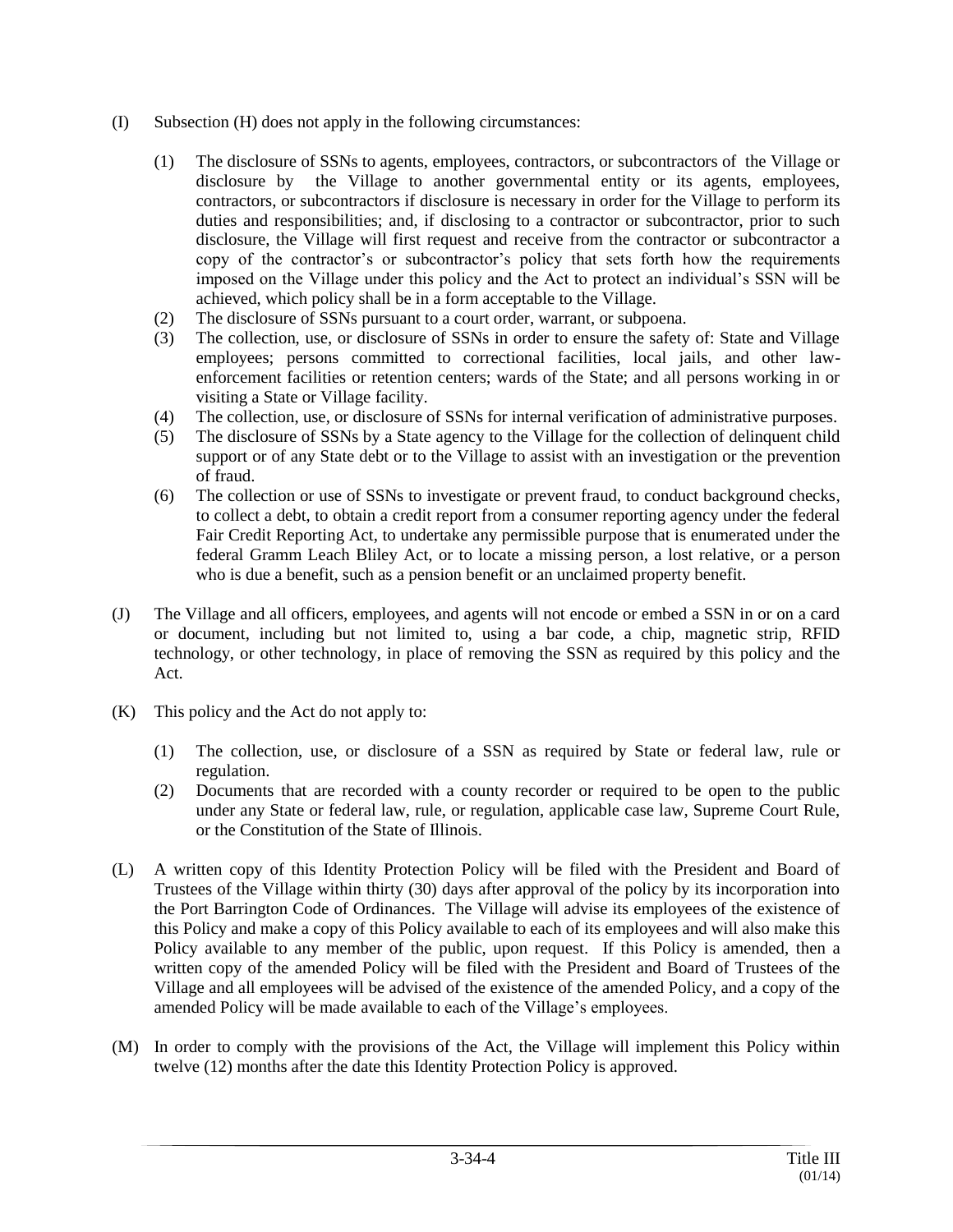- (I) Subsection (H) does not apply in the following circumstances:
	- (1) The disclosure of SSNs to agents, employees, contractors, or subcontractors of the Village or disclosure by the Village to another governmental entity or its agents, employees, contractors, or subcontractors if disclosure is necessary in order for the Village to perform its duties and responsibilities; and, if disclosing to a contractor or subcontractor, prior to such disclosure, the Village will first request and receive from the contractor or subcontractor a copy of the contractor's or subcontractor's policy that sets forth how the requirements imposed on the Village under this policy and the Act to protect an individual's SSN will be achieved, which policy shall be in a form acceptable to the Village.
	- (2) The disclosure of SSNs pursuant to a court order, warrant, or subpoena.
	- (3) The collection, use, or disclosure of SSNs in order to ensure the safety of: State and Village employees; persons committed to correctional facilities, local jails, and other lawenforcement facilities or retention centers; wards of the State; and all persons working in or visiting a State or Village facility.
	- (4) The collection, use, or disclosure of SSNs for internal verification of administrative purposes.
	- (5) The disclosure of SSNs by a State agency to the Village for the collection of delinquent child support or of any State debt or to the Village to assist with an investigation or the prevention of fraud.
	- (6) The collection or use of SSNs to investigate or prevent fraud, to conduct background checks, to collect a debt, to obtain a credit report from a consumer reporting agency under the federal Fair Credit Reporting Act, to undertake any permissible purpose that is enumerated under the federal Gramm Leach Bliley Act, or to locate a missing person, a lost relative, or a person who is due a benefit, such as a pension benefit or an unclaimed property benefit.
- (J) The Village and all officers, employees, and agents will not encode or embed a SSN in or on a card or document, including but not limited to, using a bar code, a chip, magnetic strip, RFID technology, or other technology, in place of removing the SSN as required by this policy and the Act.
- (K) This policy and the Act do not apply to:
	- (1) The collection, use, or disclosure of a SSN as required by State or federal law, rule or regulation.
	- (2) Documents that are recorded with a county recorder or required to be open to the public under any State or federal law, rule, or regulation, applicable case law, Supreme Court Rule, or the Constitution of the State of Illinois.
- (L) A written copy of this Identity Protection Policy will be filed with the President and Board of Trustees of the Village within thirty (30) days after approval of the policy by its incorporation into the Port Barrington Code of Ordinances. The Village will advise its employees of the existence of this Policy and make a copy of this Policy available to each of its employees and will also make this Policy available to any member of the public, upon request. If this Policy is amended, then a written copy of the amended Policy will be filed with the President and Board of Trustees of the Village and all employees will be advised of the existence of the amended Policy, and a copy of the amended Policy will be made available to each of the Village's employees.
- (M) In order to comply with the provisions of the Act, the Village will implement this Policy within twelve (12) months after the date this Identity Protection Policy is approved.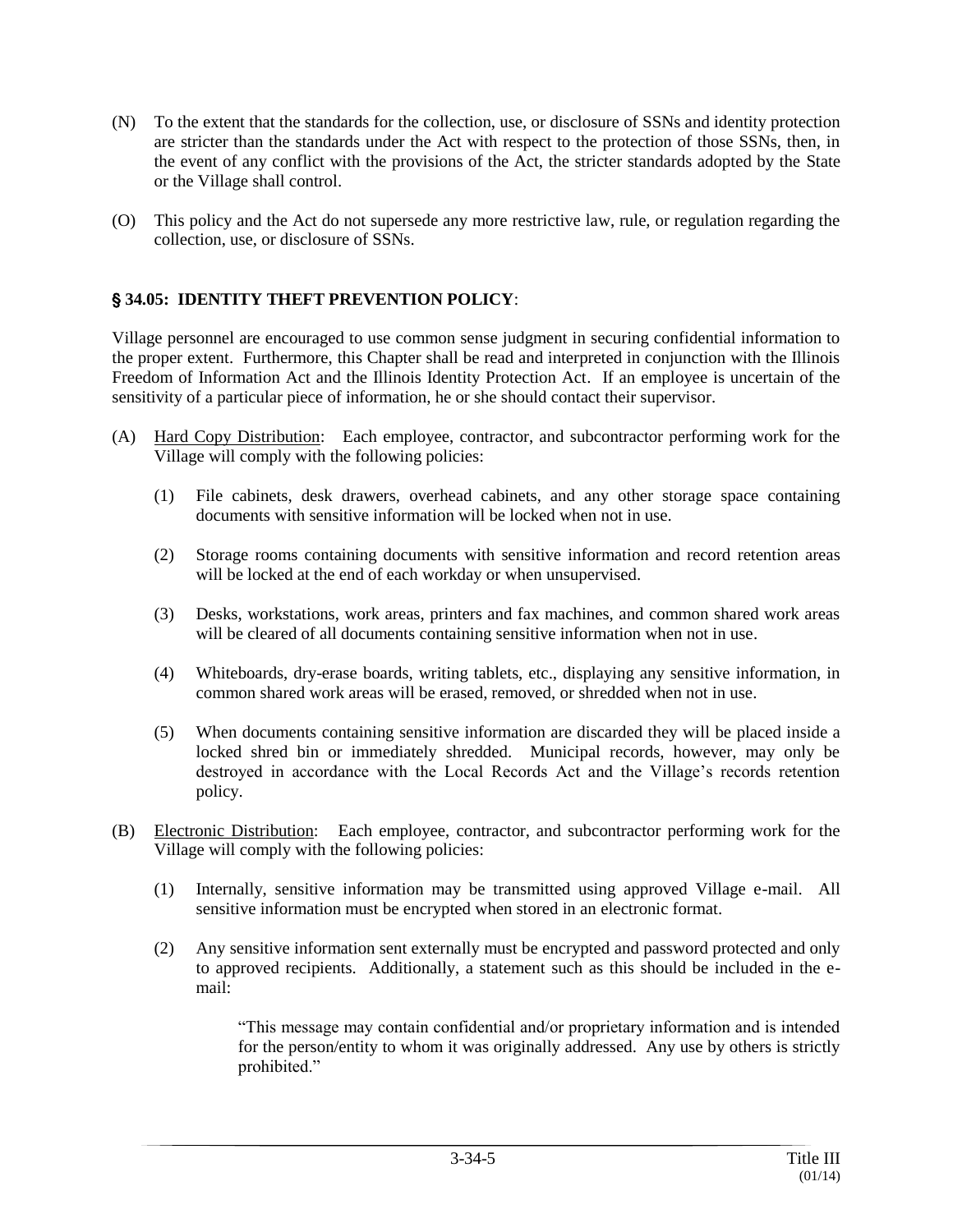- (N) To the extent that the standards for the collection, use, or disclosure of SSNs and identity protection are stricter than the standards under the Act with respect to the protection of those SSNs, then, in the event of any conflict with the provisions of the Act, the stricter standards adopted by the State or the Village shall control.
- (O) This policy and the Act do not supersede any more restrictive law, rule, or regulation regarding the collection, use, or disclosure of SSNs.

# ' **34.05: IDENTITY THEFT PREVENTION POLICY**:

Village personnel are encouraged to use common sense judgment in securing confidential information to the proper extent. Furthermore, this Chapter shall be read and interpreted in conjunction with the Illinois Freedom of Information Act and the Illinois Identity Protection Act. If an employee is uncertain of the sensitivity of a particular piece of information, he or she should contact their supervisor.

- (A) Hard Copy Distribution: Each employee, contractor, and subcontractor performing work for the Village will comply with the following policies:
	- (1) File cabinets, desk drawers, overhead cabinets, and any other storage space containing documents with sensitive information will be locked when not in use.
	- (2) Storage rooms containing documents with sensitive information and record retention areas will be locked at the end of each workday or when unsupervised.
	- (3) Desks, workstations, work areas, printers and fax machines, and common shared work areas will be cleared of all documents containing sensitive information when not in use.
	- (4) Whiteboards, dry-erase boards, writing tablets, etc., displaying any sensitive information, in common shared work areas will be erased, removed, or shredded when not in use.
	- (5) When documents containing sensitive information are discarded they will be placed inside a locked shred bin or immediately shredded. Municipal records, however, may only be destroyed in accordance with the Local Records Act and the Village's records retention policy.
- (B) Electronic Distribution: Each employee, contractor, and subcontractor performing work for the Village will comply with the following policies:
	- (1) Internally, sensitive information may be transmitted using approved Village e-mail. All sensitive information must be encrypted when stored in an electronic format.
	- (2) Any sensitive information sent externally must be encrypted and password protected and only to approved recipients. Additionally, a statement such as this should be included in the email:

"This message may contain confidential and/or proprietary information and is intended for the person/entity to whom it was originally addressed. Any use by others is strictly prohibited."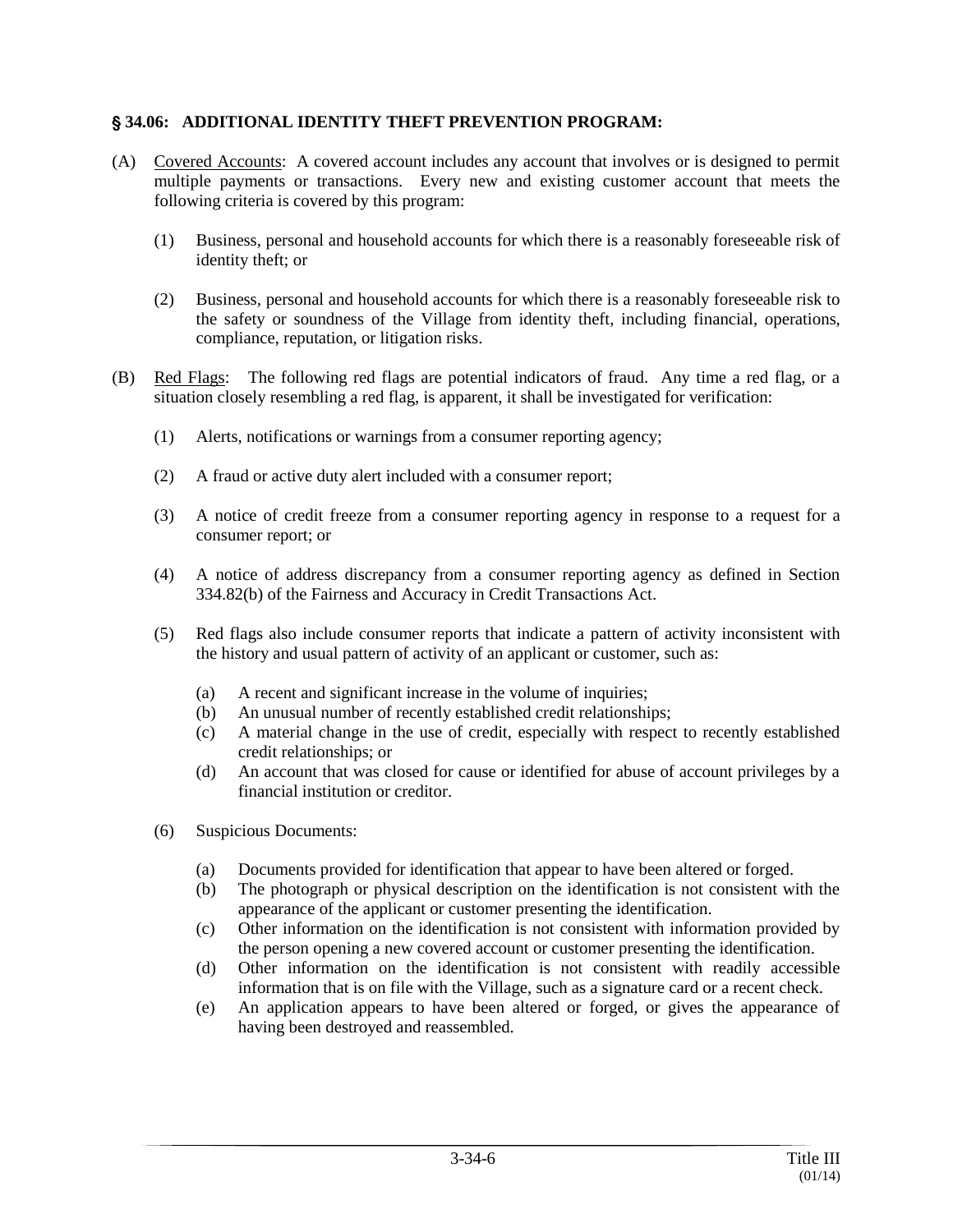### ' **34.06: ADDITIONAL IDENTITY THEFT PREVENTION PROGRAM:**

- (A) Covered Accounts: A covered account includes any account that involves or is designed to permit multiple payments or transactions. Every new and existing customer account that meets the following criteria is covered by this program:
	- (1) Business, personal and household accounts for which there is a reasonably foreseeable risk of identity theft; or
	- (2) Business, personal and household accounts for which there is a reasonably foreseeable risk to the safety or soundness of the Village from identity theft, including financial, operations, compliance, reputation, or litigation risks.
- (B) Red Flags: The following red flags are potential indicators of fraud. Any time a red flag, or a situation closely resembling a red flag, is apparent, it shall be investigated for verification:
	- (1) Alerts, notifications or warnings from a consumer reporting agency;
	- (2) A fraud or active duty alert included with a consumer report;
	- (3) A notice of credit freeze from a consumer reporting agency in response to a request for a consumer report; or
	- (4) A notice of address discrepancy from a consumer reporting agency as defined in Section 334.82(b) of the Fairness and Accuracy in Credit Transactions Act.
	- (5) Red flags also include consumer reports that indicate a pattern of activity inconsistent with the history and usual pattern of activity of an applicant or customer, such as:
		- (a) A recent and significant increase in the volume of inquiries;
		- (b) An unusual number of recently established credit relationships;
		- (c) A material change in the use of credit, especially with respect to recently established credit relationships; or
		- (d) An account that was closed for cause or identified for abuse of account privileges by a financial institution or creditor.
	- (6) Suspicious Documents:
		- (a) Documents provided for identification that appear to have been altered or forged.
		- (b) The photograph or physical description on the identification is not consistent with the appearance of the applicant or customer presenting the identification.
		- (c) Other information on the identification is not consistent with information provided by the person opening a new covered account or customer presenting the identification.
		- (d) Other information on the identification is not consistent with readily accessible information that is on file with the Village, such as a signature card or a recent check.
		- (e) An application appears to have been altered or forged, or gives the appearance of having been destroyed and reassembled.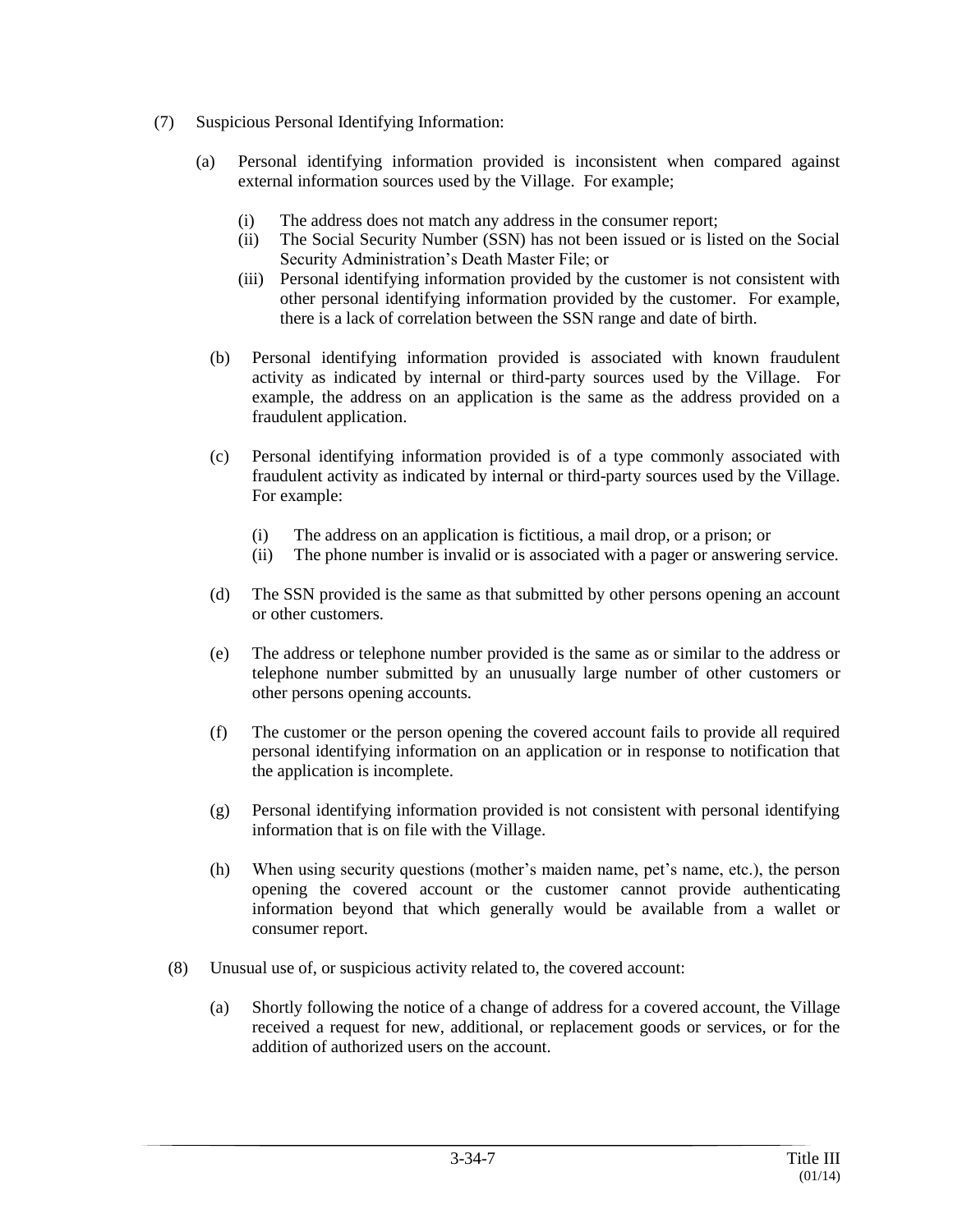- (7) Suspicious Personal Identifying Information:
	- (a) Personal identifying information provided is inconsistent when compared against external information sources used by the Village. For example;
		- (i) The address does not match any address in the consumer report;
		- (ii) The Social Security Number (SSN) has not been issued or is listed on the Social Security Administration's Death Master File; or
		- (iii) Personal identifying information provided by the customer is not consistent with other personal identifying information provided by the customer. For example, there is a lack of correlation between the SSN range and date of birth.
		- (b) Personal identifying information provided is associated with known fraudulent activity as indicated by internal or third-party sources used by the Village. For example, the address on an application is the same as the address provided on a fraudulent application.
		- (c) Personal identifying information provided is of a type commonly associated with fraudulent activity as indicated by internal or third-party sources used by the Village. For example:
			- (i) The address on an application is fictitious, a mail drop, or a prison; or
			- (ii) The phone number is invalid or is associated with a pager or answering service.
		- (d) The SSN provided is the same as that submitted by other persons opening an account or other customers.
		- (e) The address or telephone number provided is the same as or similar to the address or telephone number submitted by an unusually large number of other customers or other persons opening accounts.
		- (f) The customer or the person opening the covered account fails to provide all required personal identifying information on an application or in response to notification that the application is incomplete.
		- (g) Personal identifying information provided is not consistent with personal identifying information that is on file with the Village.
		- (h) When using security questions (mother's maiden name, pet's name, etc.), the person opening the covered account or the customer cannot provide authenticating information beyond that which generally would be available from a wallet or consumer report.
	- (8) Unusual use of, or suspicious activity related to, the covered account:
		- (a) Shortly following the notice of a change of address for a covered account, the Village received a request for new, additional, or replacement goods or services, or for the addition of authorized users on the account.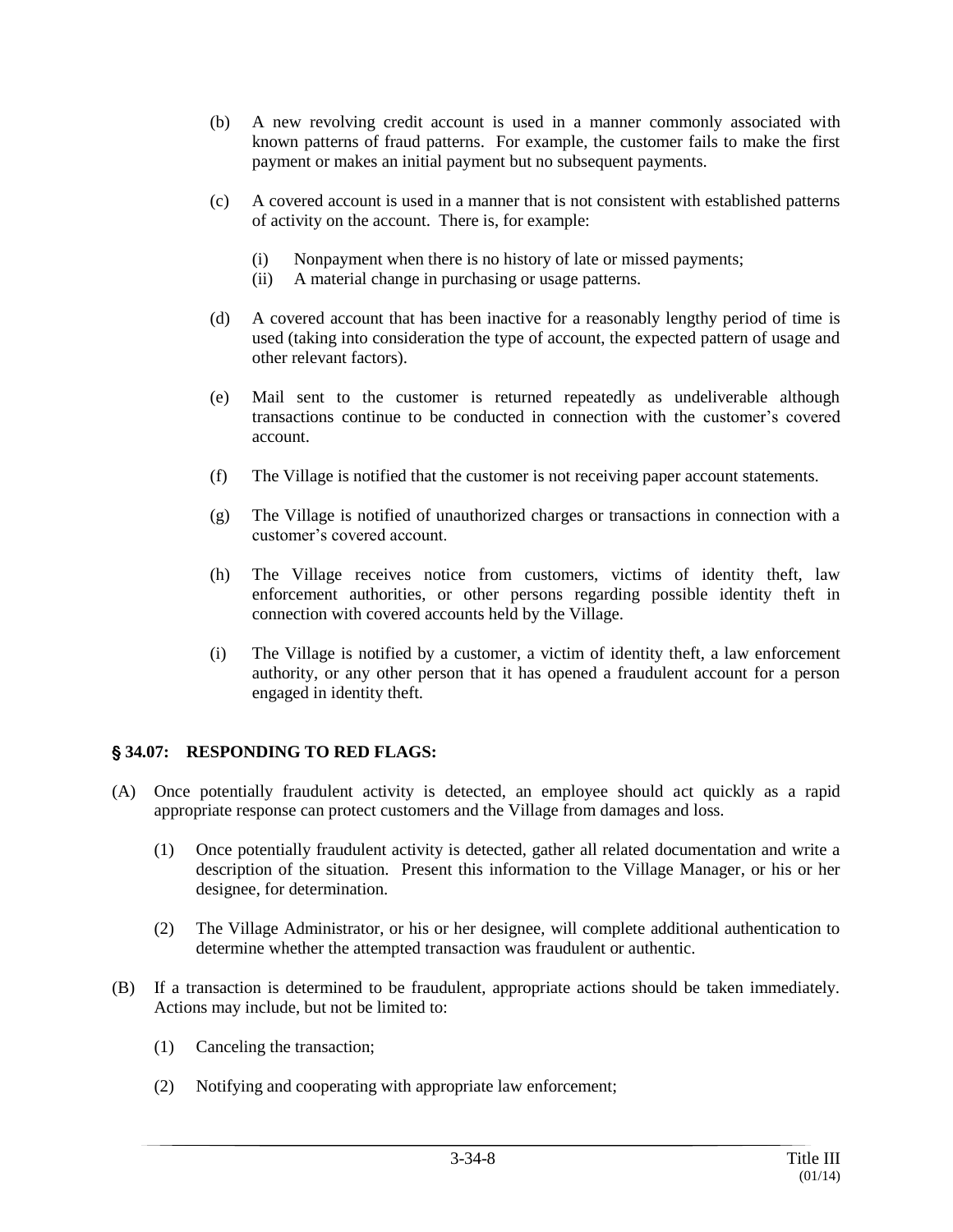- (b) A new revolving credit account is used in a manner commonly associated with known patterns of fraud patterns. For example, the customer fails to make the first payment or makes an initial payment but no subsequent payments.
- (c) A covered account is used in a manner that is not consistent with established patterns of activity on the account. There is, for example:
	- (i) Nonpayment when there is no history of late or missed payments;
	- (ii) A material change in purchasing or usage patterns.
- (d) A covered account that has been inactive for a reasonably lengthy period of time is used (taking into consideration the type of account, the expected pattern of usage and other relevant factors).
- (e) Mail sent to the customer is returned repeatedly as undeliverable although transactions continue to be conducted in connection with the customer's covered account.
- (f) The Village is notified that the customer is not receiving paper account statements.
- (g) The Village is notified of unauthorized charges or transactions in connection with a customer's covered account.
- (h) The Village receives notice from customers, victims of identity theft, law enforcement authorities, or other persons regarding possible identity theft in connection with covered accounts held by the Village.
- (i) The Village is notified by a customer, a victim of identity theft, a law enforcement authority, or any other person that it has opened a fraudulent account for a person engaged in identity theft.

# ' **34.07: RESPONDING TO RED FLAGS:**

- (A) Once potentially fraudulent activity is detected, an employee should act quickly as a rapid appropriate response can protect customers and the Village from damages and loss.
	- (1) Once potentially fraudulent activity is detected, gather all related documentation and write a description of the situation. Present this information to the Village Manager, or his or her designee, for determination.
	- (2) The Village Administrator, or his or her designee, will complete additional authentication to determine whether the attempted transaction was fraudulent or authentic.
- (B) If a transaction is determined to be fraudulent, appropriate actions should be taken immediately. Actions may include, but not be limited to:
	- (1) Canceling the transaction;
	- (2) Notifying and cooperating with appropriate law enforcement;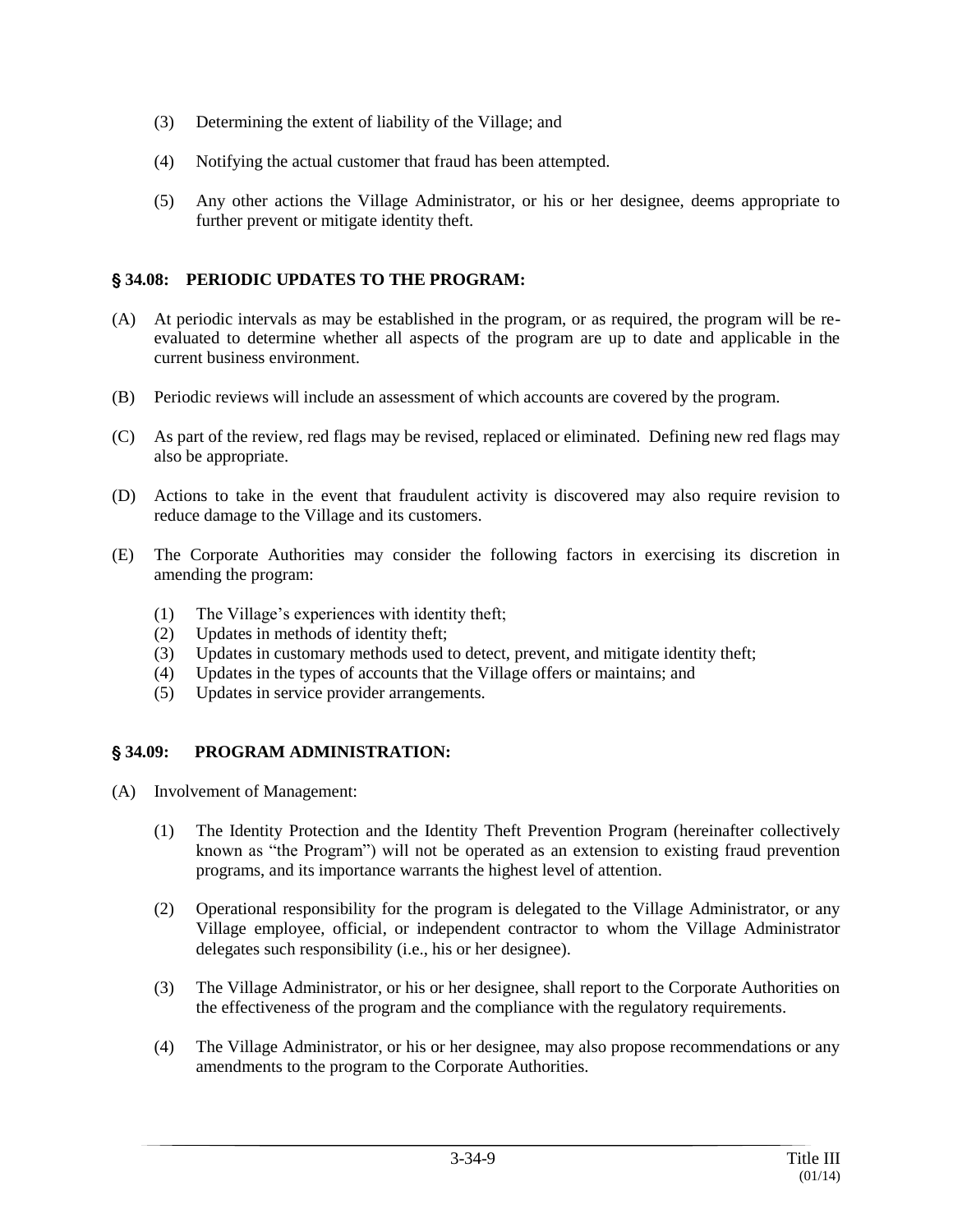- (3) Determining the extent of liability of the Village; and
- (4) Notifying the actual customer that fraud has been attempted.
- (5) Any other actions the Village Administrator, or his or her designee, deems appropriate to further prevent or mitigate identity theft.

# ' **34.08: PERIODIC UPDATES TO THE PROGRAM:**

- (A) At periodic intervals as may be established in the program, or as required, the program will be reevaluated to determine whether all aspects of the program are up to date and applicable in the current business environment.
- (B) Periodic reviews will include an assessment of which accounts are covered by the program.
- (C) As part of the review, red flags may be revised, replaced or eliminated. Defining new red flags may also be appropriate.
- (D) Actions to take in the event that fraudulent activity is discovered may also require revision to reduce damage to the Village and its customers.
- (E) The Corporate Authorities may consider the following factors in exercising its discretion in amending the program:
	- (1) The Village's experiences with identity theft;
	- (2) Updates in methods of identity theft;
	- (3) Updates in customary methods used to detect, prevent, and mitigate identity theft;
	- (4) Updates in the types of accounts that the Village offers or maintains; and
	- (5) Updates in service provider arrangements.

# ' **34.09: PROGRAM ADMINISTRATION:**

- (A) Involvement of Management:
	- (1) The Identity Protection and the Identity Theft Prevention Program (hereinafter collectively known as "the Program") will not be operated as an extension to existing fraud prevention programs, and its importance warrants the highest level of attention.
	- (2) Operational responsibility for the program is delegated to the Village Administrator, or any Village employee, official, or independent contractor to whom the Village Administrator delegates such responsibility (i.e., his or her designee).
	- (3) The Village Administrator, or his or her designee, shall report to the Corporate Authorities on the effectiveness of the program and the compliance with the regulatory requirements.
	- (4) The Village Administrator, or his or her designee, may also propose recommendations or any amendments to the program to the Corporate Authorities.